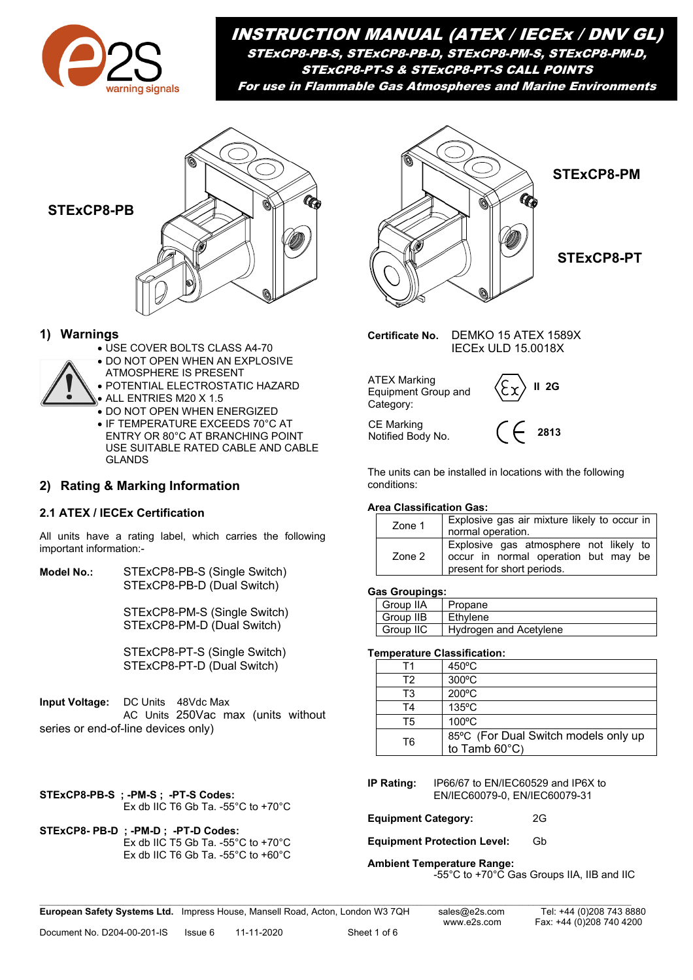

INSTRUCTION MANUAL (ATEX / IECEx / DNV GL) STExCP8-PB-S, STExCP8-PB-D, STExCP8-PM-S, STExCP8-PM-D, STExCP8-PT-S & STExCP8-PT-S CALL POINTS For use in Flammable Gas Atmospheres and Marine Environments



# **1) Warnings**

- USE COVER BOLTS CLASS A4-70
- **.** DO NOT OPEN WHEN AN EXPLOSIVE
- ATMOSPHERE IS PRESENT



• IF TEMPERATURE EXCEEDS 70°C AT ENTRY OR 80°C AT BRANCHING POINT USE SUITABLE RATED CABLE AND CABLE GLANDS

# **2) Rating & Marking Information**

### **2.1 ATEX / IECEx Certification**

All units have a rating label, which carries the following important information:-

**Model No.:** STExCP8-PB-S (Single Switch) STExCP8-PB-D (Dual Switch)

> STExCP8-PM-S (Single Switch) STExCP8-PM-D (Dual Switch)

STExCP8-PT-S (Single Switch) STExCP8-PT-D (Dual Switch)

**Input Voltage:** DC Units 48Vdc Max AC Units 250Vac max (units without series or end-of-line devices only)

**STExCP8-PB-S ; -PM-S ; -PT-S Codes:**  Ex db IIC T6 Gb Ta. -55°C to +70°C

**STExCP8- PB-D ; -PM-D ; -PT-D Codes:**  Ex db IIC T5 Gb Ta. -55°C to +70°C Ex db IIC T6 Gb Ta. -55°C to +60°C



**STExCP8-PM**

**STExCP8-PT**

**Certificate No.** DEMKO 15 ATEX 1589X IECEx ULD 15.0018X

**2813**  ATEX Marking<br>Equipment Group and  $\left\langle \xi \chi \right\rangle$  **II 2G** Category: CE Marking Notified Body No.

The units can be installed in locations with the following conditions:

#### **Area Classification Gas:**

| Zone 1 | Explosive gas air mixture likely to occur in<br>normal operation.                                            |  |  |  |  |
|--------|--------------------------------------------------------------------------------------------------------------|--|--|--|--|
| Zone 2 | Explosive gas atmosphere not likely to<br>occur in normal operation but may be<br>present for short periods. |  |  |  |  |

#### **Gas Groupings:**

| Group IIA | Propane                |
|-----------|------------------------|
| Group IIB | l Ethvlene             |
| Group IIC | Hydrogen and Acetylene |

#### **Temperature Classification:**

| Τ1 | $450^{\circ}$ C                                                 |
|----|-----------------------------------------------------------------|
| T2 | 300°C                                                           |
| T3 | 200°C                                                           |
| T4 | $135^{\circ}$ C                                                 |
| T5 | 100°C                                                           |
| T6 | 85°C (For Dual Switch models only up<br>to Tamb $60^{\circ}$ C) |

**IP Rating:** IP66/67 to EN/IEC60529 and IP6X to EN/IEC60079-0, EN/IEC60079-31

**Equipment Category:** 2G

**Equipment Protection Level:** Gb

**Ambient Temperature Range:**

-55°C to +70°C Gas Groups IIA, IIB and IIC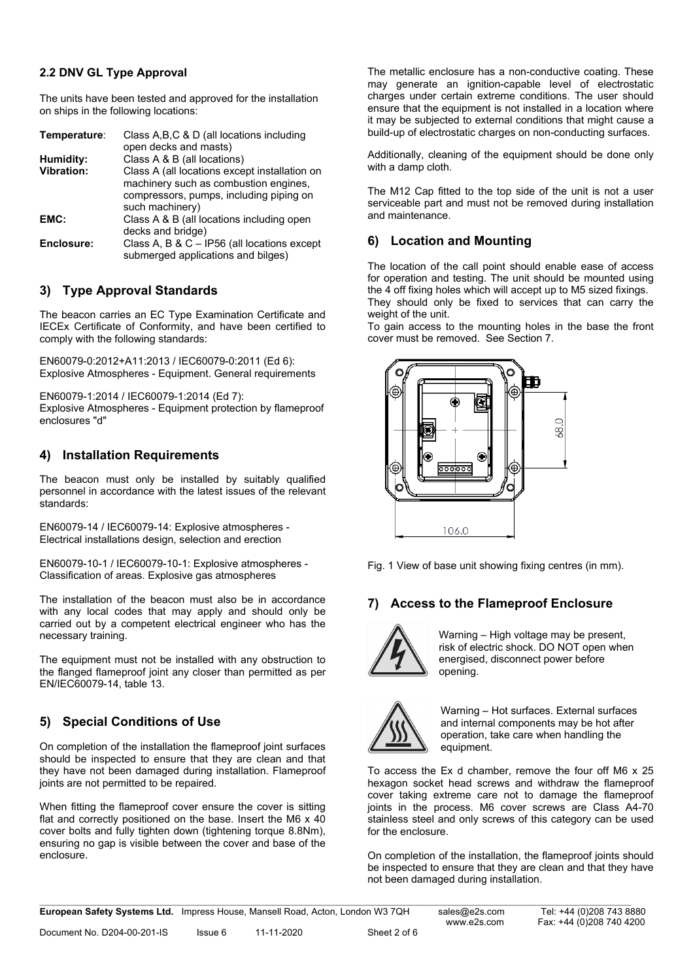#### **2.2 DNV GL Type Approval**

The units have been tested and approved for the installation on ships in the following locations:

| Temperature:      | Class A, B, C & D (all locations including    |
|-------------------|-----------------------------------------------|
|                   | open decks and masts)                         |
| Humidity:         | Class A & B (all locations)                   |
| <b>Vibration:</b> | Class A (all locations except installation on |
|                   | machinery such as combustion engines,         |
|                   | compressors, pumps, including piping on       |
|                   | such machinery)                               |
| EMC:              | Class A & B (all locations including open     |
|                   | decks and bridge)                             |
| Enclosure:        | Class A, B & C - IP56 (all locations except   |
|                   | submerged applications and bilges)            |

# **3) Type Approval Standards**

The beacon carries an EC Type Examination Certificate and IECEx Certificate of Conformity, and have been certified to comply with the following standards:

EN60079-0:2012+A11:2013 / IEC60079-0:2011 (Ed 6): Explosive Atmospheres - Equipment. General requirements

EN60079-1:2014 / IEC60079-1:2014 (Ed 7): Explosive Atmospheres - Equipment protection by flameproof enclosures "d"

### **4) Installation Requirements**

The beacon must only be installed by suitably qualified personnel in accordance with the latest issues of the relevant standards:

EN60079-14 / IEC60079-14: Explosive atmospheres - Electrical installations design, selection and erection

EN60079-10-1 / IEC60079-10-1: Explosive atmospheres - Classification of areas. Explosive gas atmospheres

The installation of the beacon must also be in accordance with any local codes that may apply and should only be carried out by a competent electrical engineer who has the necessary training.

The equipment must not be installed with any obstruction to the flanged flameproof joint any closer than permitted as per EN/IEC60079-14, table 13.

# **5) Special Conditions of Use**

On completion of the installation the flameproof joint surfaces should be inspected to ensure that they are clean and that they have not been damaged during installation. Flameproof joints are not permitted to be repaired.

When fitting the flameproof cover ensure the cover is sitting flat and correctly positioned on the base. Insert the M6 x 40 cover bolts and fully tighten down (tightening torque 8.8Nm), ensuring no gap is visible between the cover and base of the enclosure.

The metallic enclosure has a non-conductive coating. These may generate an ignition-capable level of electrostatic charges under certain extreme conditions. The user should ensure that the equipment is not installed in a location where it may be subjected to external conditions that might cause a build-up of electrostatic charges on non-conducting surfaces.

Additionally, cleaning of the equipment should be done only with a damp cloth.

The M12 Cap fitted to the top side of the unit is not a user serviceable part and must not be removed during installation and maintenance.

### **6) Location and Mounting**

The location of the call point should enable ease of access for operation and testing. The unit should be mounted using the 4 off fixing holes which will accept up to M5 sized fixings. They should only be fixed to services that can carry the weight of the unit.

To gain access to the mounting holes in the base the front cover must be removed. See Section 7.



Fig. 1 View of base unit showing fixing centres (in mm).

# **7) Access to the Flameproof Enclosure**



Warning – High voltage may be present, risk of electric shock. DO NOT open when energised, disconnect power before opening.



Warning – Hot surfaces. External surfaces and internal components may be hot after operation, take care when handling the equipment.

To access the Ex d chamber, remove the four off M6 x 25 hexagon socket head screws and withdraw the flameproof cover taking extreme care not to damage the flameproof joints in the process. M6 cover screws are Class A4-70 stainless steel and only screws of this category can be used for the enclosure.

On completion of the installation, the flameproof joints should be inspected to ensure that they are clean and that they have not been damaged during installation.

**European Safety Systems Ltd.** Impress House, Mansell Road, Acton, London W3 7QH sales@e2s.com Tel: +44 (0)208 743 8880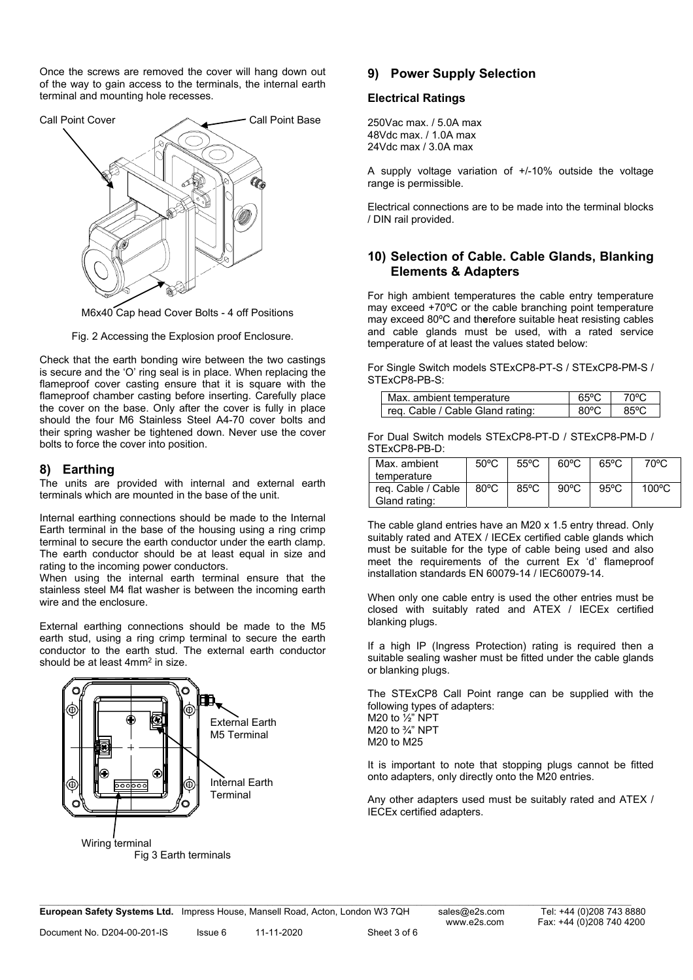Once the screws are removed the cover will hang down out of the way to gain access to the terminals, the internal earth terminal and mounting hole recesses.



M6x40 Cap head Cover Bolts - 4 off Positions

Fig. 2 Accessing the Explosion proof Enclosure.

Check that the earth bonding wire between the two castings is secure and the 'O' ring seal is in place. When replacing the flameproof cover casting ensure that it is square with the flameproof chamber casting before inserting. Carefully place the cover on the base. Only after the cover is fully in place should the four M6 Stainless Steel A4-70 cover bolts and their spring washer be tightened down. Never use the cover bolts to force the cover into position.

#### **8) Earthing**

The units are provided with internal and external earth terminals which are mounted in the base of the unit.

Internal earthing connections should be made to the Internal Earth terminal in the base of the housing using a ring crimp terminal to secure the earth conductor under the earth clamp. The earth conductor should be at least equal in size and rating to the incoming power conductors.

When using the internal earth terminal ensure that the stainless steel M4 flat washer is between the incoming earth wire and the enclosure.

External earthing connections should be made to the M5 earth stud, using a ring crimp terminal to secure the earth conductor to the earth stud. The external earth conductor should be at least 4mm<sup>2</sup> in size.



### **9) Power Supply Selection**

#### **Electrical Ratings**

250Vac max. / 5.0A max 48Vdc max. / 1.0A max 24Vdc max / 3.0A max

A supply voltage variation of +/-10% outside the voltage range is permissible.

Electrical connections are to be made into the terminal blocks / DIN rail provided.

### **10) Selection of Cable. Cable Glands, Blanking Elements & Adapters**

For high ambient temperatures the cable entry temperature may exceed +70ºC or the cable branching point temperature may exceed 80ºC and th**e**refore suitable heat resisting cables and cable glands must be used, with a rated service temperature of at least the values stated below:

For Single Switch models STExCP8-PT-S / STExCP8-PM-S / STExCP8-PB-S:

| Max. ambient temperature         | 65°C | 70°C |
|----------------------------------|------|------|
| req. Cable / Cable Gland rating: | 80°C | 85°C |

For Dual Switch models STExCP8-PT-D / STExCP8-PM-D / STExCP8-PB-D:

| Max. ambient                          | $50^{\circ}$ C | $55^{\circ}$ C | $60^{\circ}$ C | $65^{\circ}$ C | 70°C  |
|---------------------------------------|----------------|----------------|----------------|----------------|-------|
| temperature                           |                |                |                |                |       |
| reg. Cable / Cable  <br>Gland rating: | 80°C           | $85^{\circ}$ C | $90^{\circ}$ C | $95^{\circ}$ C | 100°C |

The cable gland entries have an M20 x 1.5 entry thread. Only suitably rated and ATEX / IECEx certified cable glands which must be suitable for the type of cable being used and also meet the requirements of the current Ex 'd' flameproof installation standards EN 60079-14 / IEC60079-14.

When only one cable entry is used the other entries must be closed with suitably rated and ATEX / IECEx certified blanking plugs.

If a high IP (Ingress Protection) rating is required then a suitable sealing washer must be fitted under the cable glands or blanking plugs.

The STExCP8 Call Point range can be supplied with the following types of adapters: M20 to ½" NPT M20 to ¾" NPT M20 to M25

It is important to note that stopping plugs cannot be fitted onto adapters, only directly onto the M20 entries.

Any other adapters used must be suitably rated and ATEX / IECEx certified adapters.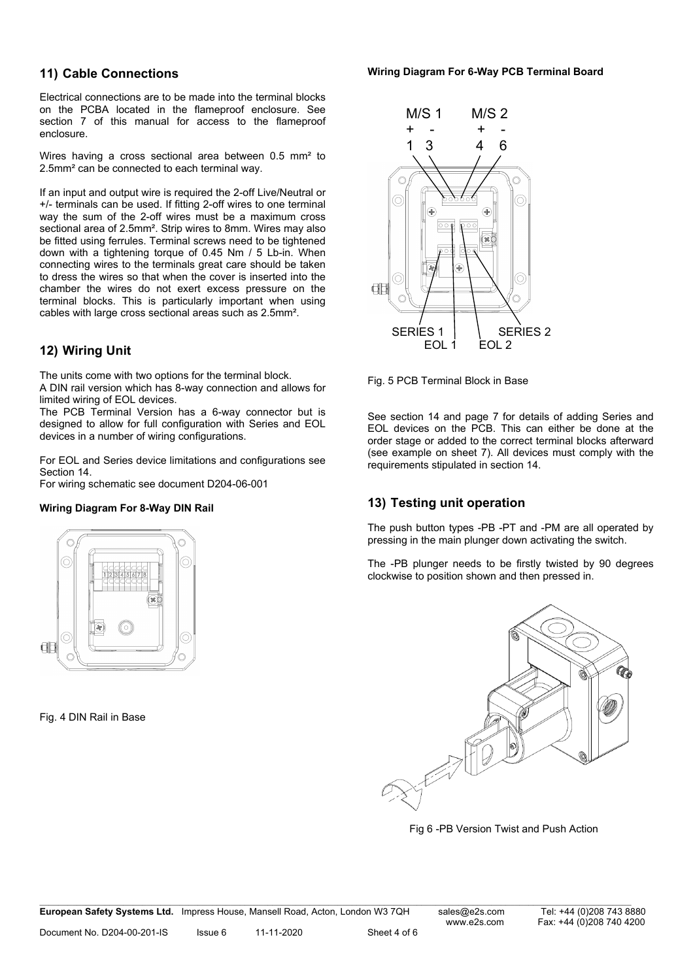#### **11) Cable Connections**

Electrical connections are to be made into the terminal blocks on the PCBA located in the flameproof enclosure. See section 7 of this manual for access to the flameproof enclosure.

Wires having a cross sectional area between 0.5 mm<sup>2</sup> to 2.5mm² can be connected to each terminal way.

If an input and output wire is required the 2-off Live/Neutral or +/- terminals can be used. If fitting 2-off wires to one terminal way the sum of the 2-off wires must be a maximum cross sectional area of 2.5mm². Strip wires to 8mm. Wires may also be fitted using ferrules. Terminal screws need to be tightened down with a tightening torque of 0.45 Nm / 5 Lb-in. When connecting wires to the terminals great care should be taken to dress the wires so that when the cover is inserted into the chamber the wires do not exert excess pressure on the terminal blocks. This is particularly important when using cables with large cross sectional areas such as 2.5mm².

# **12) Wiring Unit**

The units come with two options for the terminal block. A DIN rail version which has 8-way connection and allows for limited wiring of EOL devices.

The PCB Terminal Version has a 6-way connector but is designed to allow for full configuration with Series and EOL devices in a number of wiring configurations.

For EOL and Series device limitations and configurations see Section 14.

For wiring schematic see document D204-06-001

#### **Wiring Diagram For 8-Way DIN Rail**



Fig. 4 DIN Rail in Base



Fig. 5 PCB Terminal Block in Base

See section 14 and page 7 for details of adding Series and EOL devices on the PCB. This can either be done at the order stage or added to the correct terminal blocks afterward (see example on sheet 7). All devices must comply with the requirements stipulated in section 14.

# **13) Testing unit operation**

The push button types -PB -PT and -PM are all operated by pressing in the main plunger down activating the switch.

The -PB plunger needs to be firstly twisted by 90 degrees clockwise to position shown and then pressed in.



Fig 6 -PB Version Twist and Push Action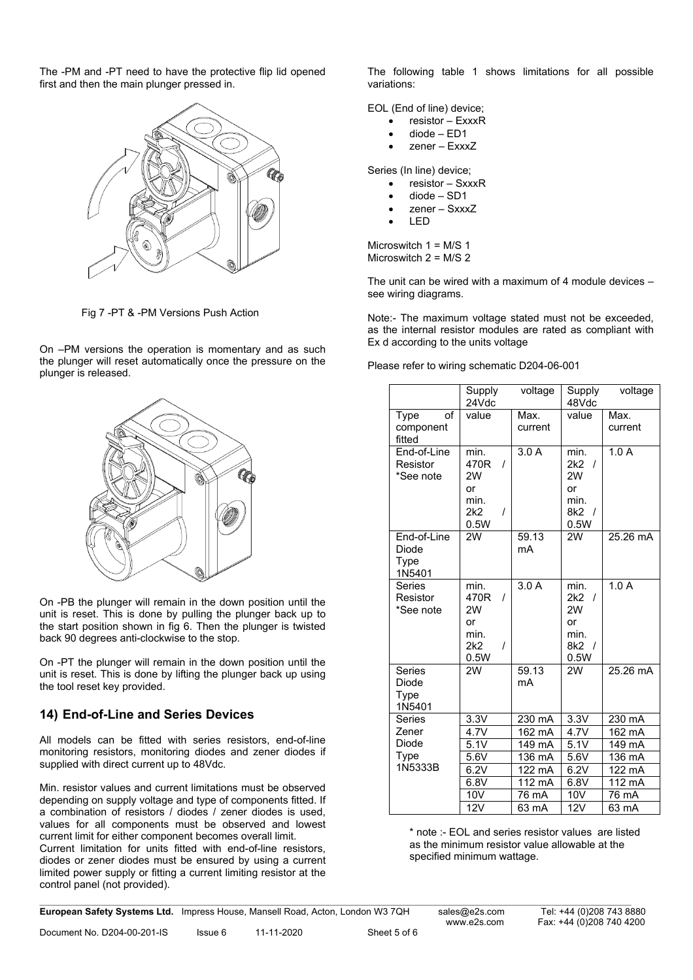The -PM and -PT need to have the protective flip lid opened first and then the main plunger pressed in.



Fig 7 -PT & -PM Versions Push Action

On –PM versions the operation is momentary and as such the plunger will reset automatically once the pressure on the plunger is released.



On -PB the plunger will remain in the down position until the unit is reset. This is done by pulling the plunger back up to the start position shown in fig 6. Then the plunger is twisted back 90 degrees anti-clockwise to the stop.

On -PT the plunger will remain in the down position until the unit is reset. This is done by lifting the plunger back up using the tool reset key provided.

### **14) End-of-Line and Series Devices**

All models can be fitted with series resistors, end-of-line monitoring resistors, monitoring diodes and zener diodes if supplied with direct current up to 48Vdc.

Min. resistor values and current limitations must be observed depending on supply voltage and type of components fitted. If a combination of resistors / diodes / zener diodes is used, values for all components must be observed and lowest current limit for either component becomes overall limit.

Current limitation for units fitted with end-of-line resistors, diodes or zener diodes must be ensured by using a current limited power supply or fitting a current limiting resistor at the control panel (not provided).

The following table 1 shows limitations for all possible variations:

EOL (End of line) device;

- resistor ExxxR
- diode ED1
- zener ExxxZ

Series (In line) device;

- resistor SxxxR
- diode SD1
- zener SxxxZ
- LED

Microswitch 1 = M/S 1 Microswitch 2 = M/S 2

The unit can be wired with a maximum of 4 module devices – see wiring diagrams.

Note:- The maximum voltage stated must not be exceeded, as the internal resistor modules are rated as compliant with Ex d according to the units voltage

Please refer to wiring schematic D204-06-001

|                                        | Supply<br>24Vdc                                                         | voltage                 | Supply<br>48Vdc                                                                      | voltage         |
|----------------------------------------|-------------------------------------------------------------------------|-------------------------|--------------------------------------------------------------------------------------|-----------------|
| of<br>Type<br>component<br>fitted      | value                                                                   | Max.<br>current         | value                                                                                | Max.<br>current |
| End-of-Line<br>Resistor<br>*See note   | min.<br>470R<br>$\prime$<br>2W<br>or<br>min.<br>2k2<br>Ι<br>0.5W        | 3.0A                    | min.<br>2k2<br>$\prime$<br>2W<br>or<br>min.<br>8k <sub>2</sub><br>$\sqrt{ }$<br>0.5W | 1.0A            |
| End-of-Line<br>Diode<br>Type<br>1N5401 | 2W                                                                      | 59.13<br>mA             | 2W                                                                                   | 25.26 mA        |
| <b>Series</b><br>Resistor<br>*See note | min.<br>470R<br>$\prime$<br>2W<br>or<br>min.<br>2k2<br>$\prime$<br>0.5W | 3.0A                    | min.<br>2k2<br>$\prime$<br>2W<br>or<br>min.<br>8k2 /<br>0.5W                         | 1.0A            |
| Series<br>Diode<br>Type<br>1N5401      | 2W                                                                      | $\frac{1}{59.13}$<br>mA | 2W                                                                                   | 25.26 mA        |
| Series                                 | 3.3V                                                                    | 230 mA                  | 3.3V                                                                                 | 230 mA          |
| Zener                                  | 4.7V                                                                    | 162 mA                  | 4.7V                                                                                 | 162 mA          |
| Diode                                  | 5.1V                                                                    | 149 mA                  | 5.1V                                                                                 | 149 mA          |
| Type                                   | 5.6V                                                                    | 136 mA                  | 5.6V                                                                                 | 136 mA          |
| 1N5333B                                | 6.2V                                                                    | 122 mA                  | 6.2V                                                                                 | 122 mA          |
|                                        | 6.8V                                                                    | 112 mA                  | 6.8V                                                                                 | 112 mA          |
|                                        | 10V                                                                     | 76 mA                   | 10V                                                                                  | 76 mA           |
|                                        | 12V                                                                     | 63 mA                   | 12V                                                                                  | 63 mA           |

\* note :- EOL and series resistor values are listed as the minimum resistor value allowable at the specified minimum wattage.

**European Safety Systems Ltd.** Impress House, Mansell Road, Acton, London W3 7QH sales@e2s.com Tel: +44 (0)208 743 8880